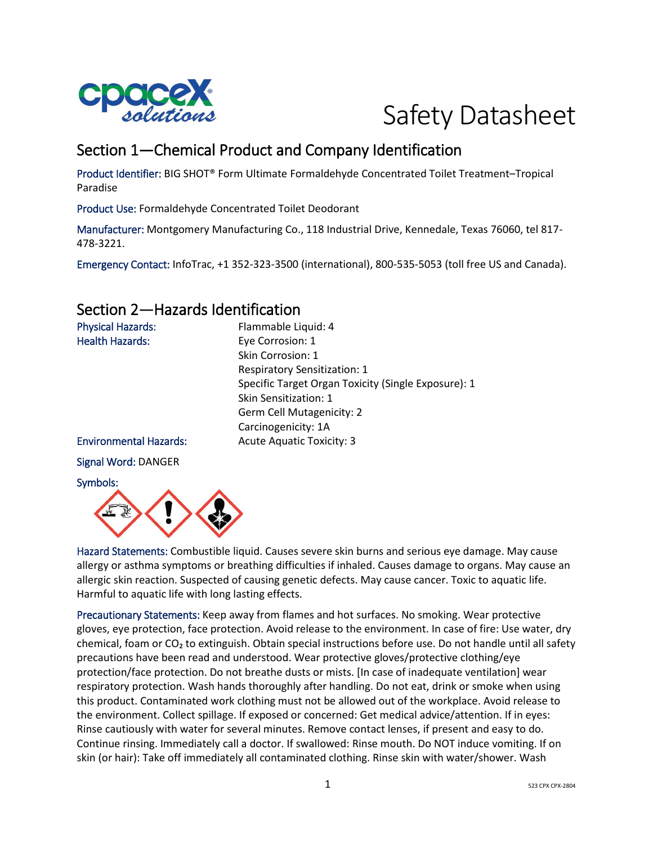

# Safety Datasheet

# Section 1—Chemical Product and Company Identification

Product Identifier: BIG SHOT® Form Ultimate Formaldehyde Concentrated Toilet Treatment–Tropical Paradise

Product Use: Formaldehyde Concentrated Toilet Deodorant

Manufacturer: Montgomery Manufacturing Co., 118 Industrial Drive, Kennedale, Texas 76060, tel 817- 478-3221.

Emergency Contact: InfoTrac, +1 352-323-3500 (international), 800-535-5053 (toll free US and Canada).

### Section 2—Hazards Identification

| <b>Physical Hazards:</b>      | Flammable Liquid: 4                                 |  |
|-------------------------------|-----------------------------------------------------|--|
| <b>Health Hazards:</b>        | Eye Corrosion: 1                                    |  |
|                               | Skin Corrosion: 1                                   |  |
|                               | <b>Respiratory Sensitization: 1</b>                 |  |
|                               | Specific Target Organ Toxicity (Single Exposure): 1 |  |
|                               | Skin Sensitization: 1                               |  |
|                               | Germ Cell Mutagenicity: 2                           |  |
|                               | Carcinogenicity: 1A                                 |  |
| <b>Environmental Hazards:</b> | <b>Acute Aquatic Toxicity: 3</b>                    |  |
| <b>Signal Word: DANGER</b>    |                                                     |  |
| Symbols:                      |                                                     |  |



Hazard Statements: Combustible liquid. Causes severe skin burns and serious eye damage. May cause allergy or asthma symptoms or breathing difficulties if inhaled. Causes damage to organs. May cause an allergic skin reaction. Suspected of causing genetic defects. May cause cancer. Toxic to aquatic life. Harmful to aquatic life with long lasting effects.

Precautionary Statements: Keep away from flames and hot surfaces. No smoking. Wear protective gloves, eye protection, face protection. Avoid release to the environment. In case of fire: Use water, dry chemical, foam or  $CO<sub>2</sub>$  to extinguish. Obtain special instructions before use. Do not handle until all safety precautions have been read and understood. Wear protective gloves/protective clothing/eye protection/face protection. Do not breathe dusts or mists. [In case of inadequate ventilation] wear respiratory protection. Wash hands thoroughly after handling. Do not eat, drink or smoke when using this product. Contaminated work clothing must not be allowed out of the workplace. Avoid release to the environment. Collect spillage. If exposed or concerned: Get medical advice/attention. If in eyes: Rinse cautiously with water for several minutes. Remove contact lenses, if present and easy to do. Continue rinsing. Immediately call a doctor. If swallowed: Rinse mouth. Do NOT induce vomiting. If on skin (or hair): Take off immediately all contaminated clothing. Rinse skin with water/shower. Wash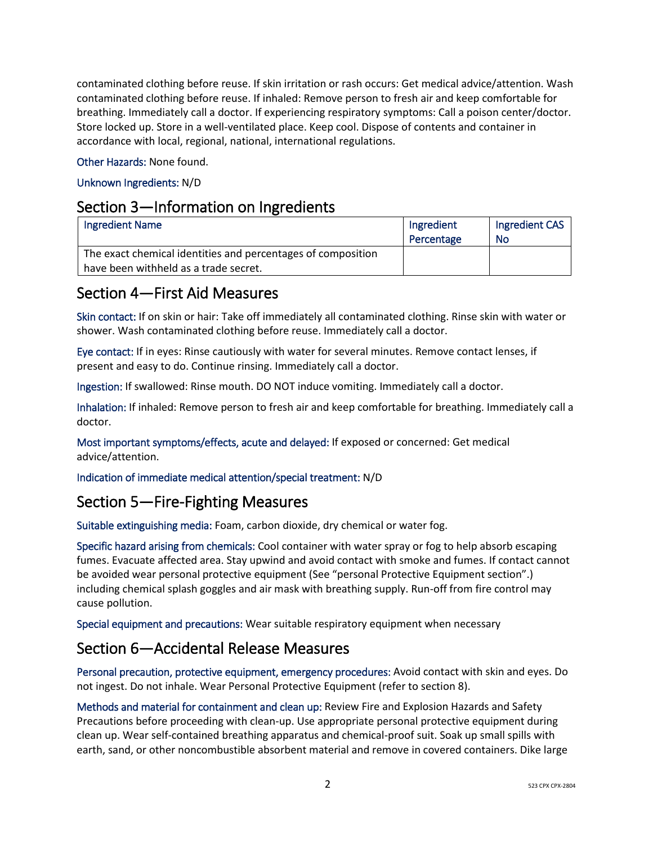contaminated clothing before reuse. If skin irritation or rash occurs: Get medical advice/attention. Wash contaminated clothing before reuse. If inhaled: Remove person to fresh air and keep comfortable for breathing. Immediately call a doctor. If experiencing respiratory symptoms: Call a poison center/doctor. Store locked up. Store in a well-ventilated place. Keep cool. Dispose of contents and container in accordance with local, regional, national, international regulations.

Other Hazards: None found.

#### Unknown Ingredients: N/D

#### Section 3—Information on Ingredients

| Ingredient Name                                              | Ingredient | Ingredient CAS |
|--------------------------------------------------------------|------------|----------------|
|                                                              | Percentage | <b>No</b>      |
| The exact chemical identities and percentages of composition |            |                |
| have been withheld as a trade secret.                        |            |                |

#### Section 4—First Aid Measures

Skin contact: If on skin or hair: Take off immediately all contaminated clothing. Rinse skin with water or shower. Wash contaminated clothing before reuse. Immediately call a doctor.

Eye contact: If in eyes: Rinse cautiously with water for several minutes. Remove contact lenses, if present and easy to do. Continue rinsing. Immediately call a doctor.

Ingestion: If swallowed: Rinse mouth. DO NOT induce vomiting. Immediately call a doctor.

Inhalation: If inhaled: Remove person to fresh air and keep comfortable for breathing. Immediately call a doctor.

Most important symptoms/effects, acute and delayed: If exposed or concerned: Get medical advice/attention.

Indication of immediate medical attention/special treatment: N/D

### Section 5—Fire-Fighting Measures

Suitable extinguishing media: Foam, carbon dioxide, dry chemical or water fog.

Specific hazard arising from chemicals: Cool container with water spray or fog to help absorb escaping fumes. Evacuate affected area. Stay upwind and avoid contact with smoke and fumes. If contact cannot be avoided wear personal protective equipment (See "personal Protective Equipment section".) including chemical splash goggles and air mask with breathing supply. Run-off from fire control may cause pollution.

Special equipment and precautions: Wear suitable respiratory equipment when necessary

### Section 6—Accidental Release Measures

Personal precaution, protective equipment, emergency procedures: Avoid contact with skin and eyes. Do not ingest. Do not inhale. Wear Personal Protective Equipment (refer to section 8).

Methods and material for containment and clean up: Review Fire and Explosion Hazards and Safety Precautions before proceeding with clean-up. Use appropriate personal protective equipment during clean up. Wear self-contained breathing apparatus and chemical-proof suit. Soak up small spills with earth, sand, or other noncombustible absorbent material and remove in covered containers. Dike large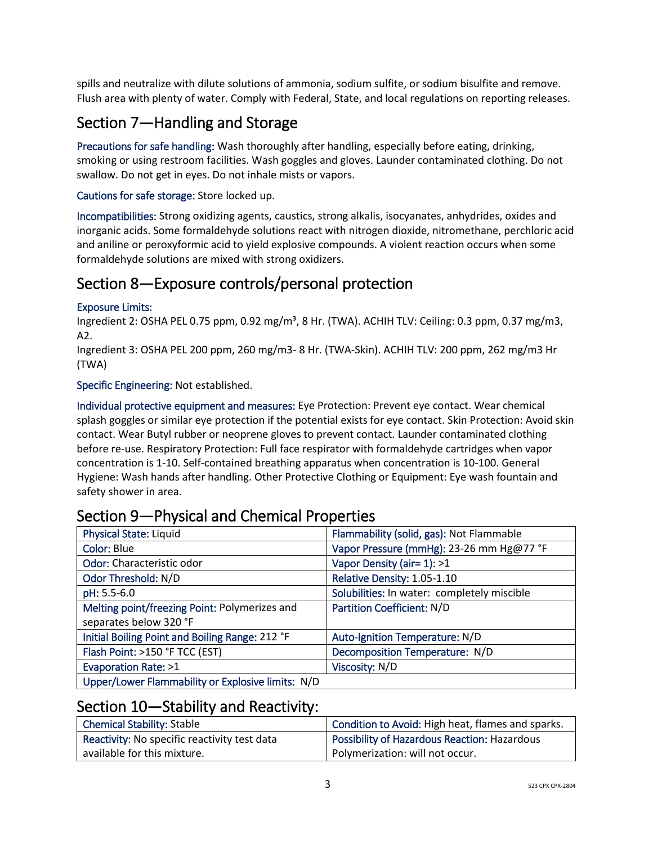spills and neutralize with dilute solutions of ammonia, sodium sulfite, or sodium bisulfite and remove. Flush area with plenty of water. Comply with Federal, State, and local regulations on reporting releases.

# Section 7—Handling and Storage

Precautions for safe handling: Wash thoroughly after handling, especially before eating, drinking, smoking or using restroom facilities. Wash goggles and gloves. Launder contaminated clothing. Do not swallow. Do not get in eyes. Do not inhale mists or vapors.

Cautions for safe storage: Store locked up.

Incompatibilities: Strong oxidizing agents, caustics, strong alkalis, isocyanates, anhydrides, oxides and inorganic acids. Some formaldehyde solutions react with nitrogen dioxide, nitromethane, perchloric acid and aniline or peroxyformic acid to yield explosive compounds. A violent reaction occurs when some formaldehyde solutions are mixed with strong oxidizers.

### Section 8—Exposure controls/personal protection

#### Exposure Limits:

Ingredient 2: OSHA PEL 0.75 ppm, 0.92 mg/m<sup>3</sup>, 8 Hr. (TWA). ACHIH TLV: Ceiling: 0.3 ppm, 0.37 mg/m3, A2.

Ingredient 3: OSHA PEL 200 ppm, 260 mg/m3- 8 Hr. (TWA-Skin). ACHIH TLV: 200 ppm, 262 mg/m3 Hr (TWA)

#### Specific Engineering: Not established.

Individual protective equipment and measures: Eye Protection: Prevent eye contact. Wear chemical splash goggles or similar eye protection if the potential exists for eye contact. Skin Protection: Avoid skin contact. Wear Butyl rubber or neoprene gloves to prevent contact. Launder contaminated clothing before re-use. Respiratory Protection: Full face respirator with formaldehyde cartridges when vapor concentration is 1-10. Self-contained breathing apparatus when concentration is 10-100. General Hygiene: Wash hands after handling. Other Protective Clothing or Equipment: Eye wash fountain and safety shower in area.

| $\sim$ . Thysical drivit chical reported          |                                             |  |
|---------------------------------------------------|---------------------------------------------|--|
| <b>Physical State: Liquid</b>                     | Flammability (solid, gas): Not Flammable    |  |
| Color: Blue                                       | Vapor Pressure (mmHg): 23-26 mm Hg@77 °F    |  |
| Odor: Characteristic odor                         | Vapor Density (air= 1): >1                  |  |
| Odor Threshold: N/D                               | Relative Density: 1.05-1.10                 |  |
| pH: 5.5-6.0                                       | Solubilities: In water: completely miscible |  |
| Melting point/freezing Point: Polymerizes and     | <b>Partition Coefficient: N/D</b>           |  |
| separates below 320 °F                            |                                             |  |
| Initial Boiling Point and Boiling Range: 212 °F   | Auto-Ignition Temperature: N/D              |  |
| Flash Point: >150 °F TCC (EST)                    | Decomposition Temperature: N/D              |  |
| Evaporation Rate: >1                              | Viscosity: N/D                              |  |
| Upper/Lower Flammability or Explosive limits: N/D |                                             |  |

### Section 9-Physical and Chemical Properties

### Section 10—Stability and Reactivity:

| Chemical Stability: Stable                   | Condition to Avoid: High heat, flames and sparks.   |
|----------------------------------------------|-----------------------------------------------------|
| Reactivity: No specific reactivity test data | <b>Possibility of Hazardous Reaction: Hazardous</b> |
| available for this mixture.                  | Polymerization: will not occur.                     |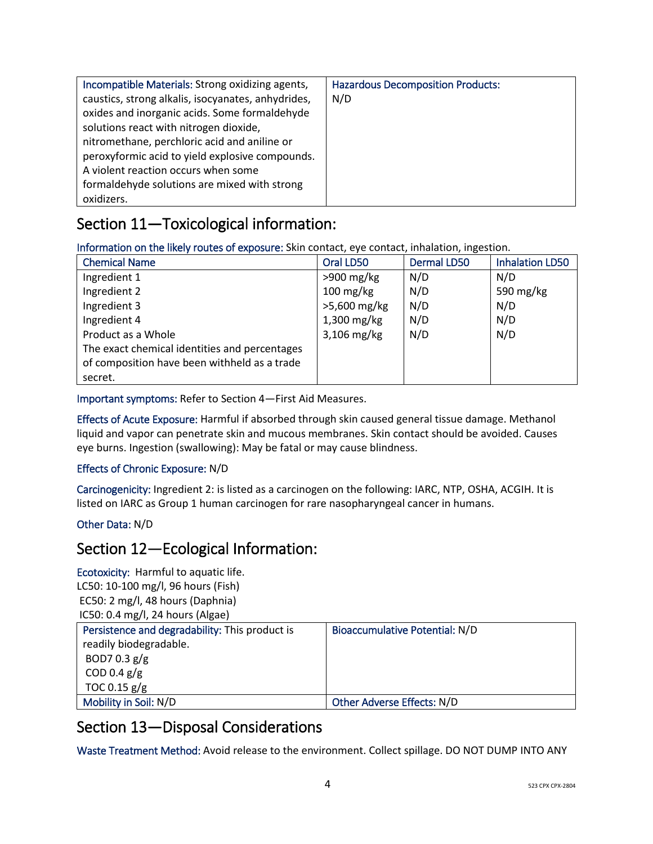| Incompatible Materials: Strong oxidizing agents,   | <b>Hazardous Decomposition Products:</b> |
|----------------------------------------------------|------------------------------------------|
| caustics, strong alkalis, isocyanates, anhydrides, | N/D                                      |
| oxides and inorganic acids. Some formaldehyde      |                                          |
| solutions react with nitrogen dioxide,             |                                          |
| nitromethane, perchloric acid and aniline or       |                                          |
| peroxyformic acid to yield explosive compounds.    |                                          |
| A violent reaction occurs when some                |                                          |
| formaldehyde solutions are mixed with strong       |                                          |
| oxidizers.                                         |                                          |

# Section 11—Toxicological information:

Information on the likely routes of exposure: Skin contact, eye contact, inhalation, ingestion.

| <b>Chemical Name</b>                          | Oral LD50           | <b>Dermal LD50</b> | <b>Inhalation LD50</b> |
|-----------------------------------------------|---------------------|--------------------|------------------------|
| Ingredient 1                                  | $>900$ mg/kg        | N/D                | N/D                    |
| Ingredient 2                                  | $100 \text{ mg/kg}$ | N/D                | 590 mg/kg              |
| Ingredient 3                                  | >5,600 mg/kg        | N/D                | N/D                    |
| Ingredient 4                                  | 1,300 mg/kg         | N/D                | N/D                    |
| Product as a Whole                            | 3,106 mg/kg         | N/D                | N/D                    |
| The exact chemical identities and percentages |                     |                    |                        |
| of composition have been withheld as a trade  |                     |                    |                        |
| secret.                                       |                     |                    |                        |

Important symptoms: Refer to Section 4—First Aid Measures.

Effects of Acute Exposure: Harmful if absorbed through skin caused general tissue damage. Methanol liquid and vapor can penetrate skin and mucous membranes. Skin contact should be avoided. Causes eye burns. Ingestion (swallowing): May be fatal or may cause blindness.

#### Effects of Chronic Exposure: N/D

Carcinogenicity: Ingredient 2: is listed as a carcinogen on the following: IARC, NTP, OSHA, ACGIH. It is listed on IARC as Group 1 human carcinogen for rare nasopharyngeal cancer in humans.

#### Other Data: N/D

#### Section 12—Ecological Information:

Ecotoxicity: Harmful to aquatic life. LC50: 10-100 mg/l, 96 hours (Fish) EC50: 2 mg/l, 48 hours (Daphnia) IC50: 0.4 mg/l, 24 hours (Algae) Persistence and degradability: This product is readily biodegradable. BOD7 0.3 g/g COD 0.4  $g/g$ TOC 0.15 g/g Bioaccumulative Potential: N/D Mobility in Soil: N/D <br>
Other Adverse Effects: N/D

## Section 13—Disposal Considerations

Waste Treatment Method: Avoid release to the environment. Collect spillage. DO NOT DUMP INTO ANY